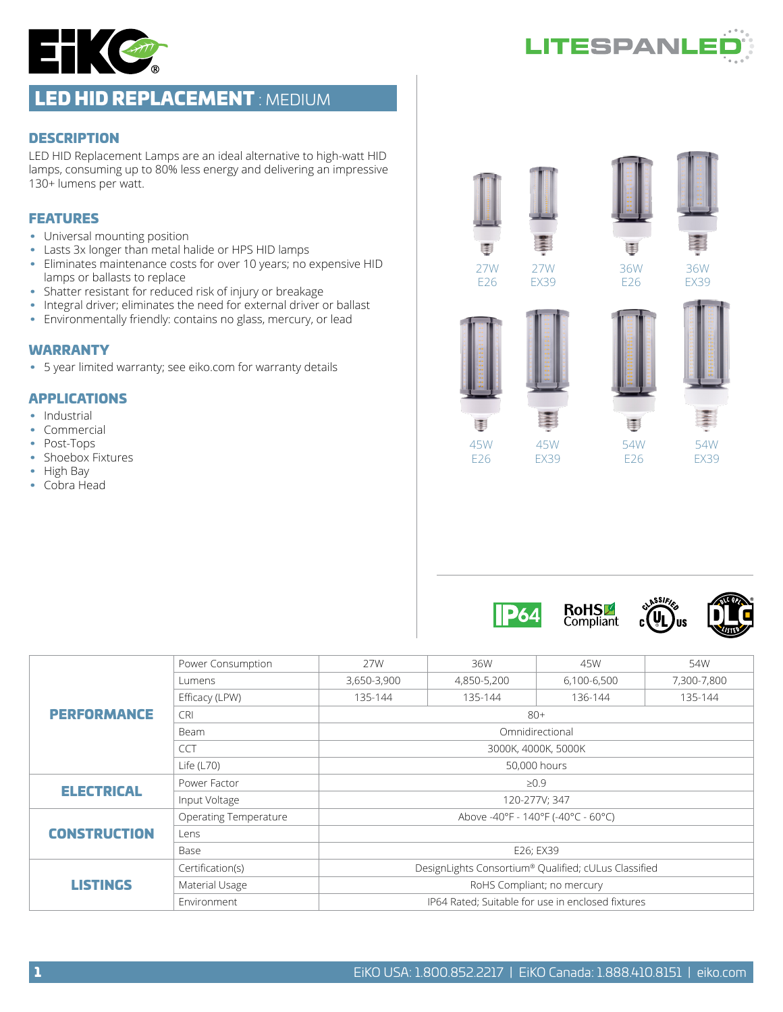



# LED HID REPLACEMENT : MEDIUM

#### **DESCRIPTION**

LED HID Replacement Lamps are an ideal alternative to high-watt HID lamps, consuming up to 80% less energy and delivering an impressive 130+ lumens per watt.

#### FEATURES

- Universal mounting position
- Lasts 3x longer than metal halide or HPS HID lamps
- Eliminates maintenance costs for over 10 years; no expensive HID lamps or ballasts to replace
- Shatter resistant for reduced risk of injury or breakage
- Integral driver; eliminates the need for external driver or ballast
- Environmentally friendly: contains no glass, mercury, or lead

#### WARRANTY

• 5 year limited warranty; see eiko.com for warranty details

#### APPLICATIONS

- Industrial
- Commercial
- Post-Tops
- Shoebox Fixtures
- High Bay
- Cobra Head



27W EX39





45W E26

围



54W E26

36W



36W EX39



45W EX39

E,





| <b>PERFORMANCE</b><br><b>ELECTRICAL</b><br><b>CONSTRUCTION</b> | Power Consumption            | 27W                                                  | 36W         | 45W                                                                    | 54W         |  |  |  |  |
|----------------------------------------------------------------|------------------------------|------------------------------------------------------|-------------|------------------------------------------------------------------------|-------------|--|--|--|--|
|                                                                | Lumens                       | 3,650-3,900                                          | 4,850-5,200 | 6,100-6,500                                                            | 7,300-7,800 |  |  |  |  |
|                                                                | Efficacy (LPW)               | 135-144                                              | 135-144     | 136-144                                                                | 135-144     |  |  |  |  |
|                                                                | <b>CRI</b>                   | $80+$                                                |             |                                                                        |             |  |  |  |  |
|                                                                | Beam                         | Omnidirectional                                      |             |                                                                        |             |  |  |  |  |
|                                                                | <b>CCT</b>                   |                                                      |             |                                                                        |             |  |  |  |  |
|                                                                | Life $(L70)$                 | 50,000 hours                                         |             |                                                                        |             |  |  |  |  |
|                                                                | Power Factor                 | $\geq 0.9$                                           |             |                                                                        |             |  |  |  |  |
|                                                                | Input Voltage                | 120-277V; 347                                        |             |                                                                        |             |  |  |  |  |
|                                                                | <b>Operating Temperature</b> |                                                      |             | 3000K, 4000K, 5000K<br>Above -40°F - 140°F (-40°C - 60°C)<br>E26; EX39 |             |  |  |  |  |
| <b>LISTINGS</b>                                                | Lens                         |                                                      |             |                                                                        |             |  |  |  |  |
|                                                                | Base                         |                                                      |             |                                                                        |             |  |  |  |  |
|                                                                | Certification(s)             | DesignLights Consortium® Qualified; cULus Classified |             |                                                                        |             |  |  |  |  |
|                                                                | Material Usage               | RoHS Compliant; no mercury                           |             |                                                                        |             |  |  |  |  |
|                                                                | Environment                  | IP64 Rated; Suitable for use in enclosed fixtures    |             |                                                                        |             |  |  |  |  |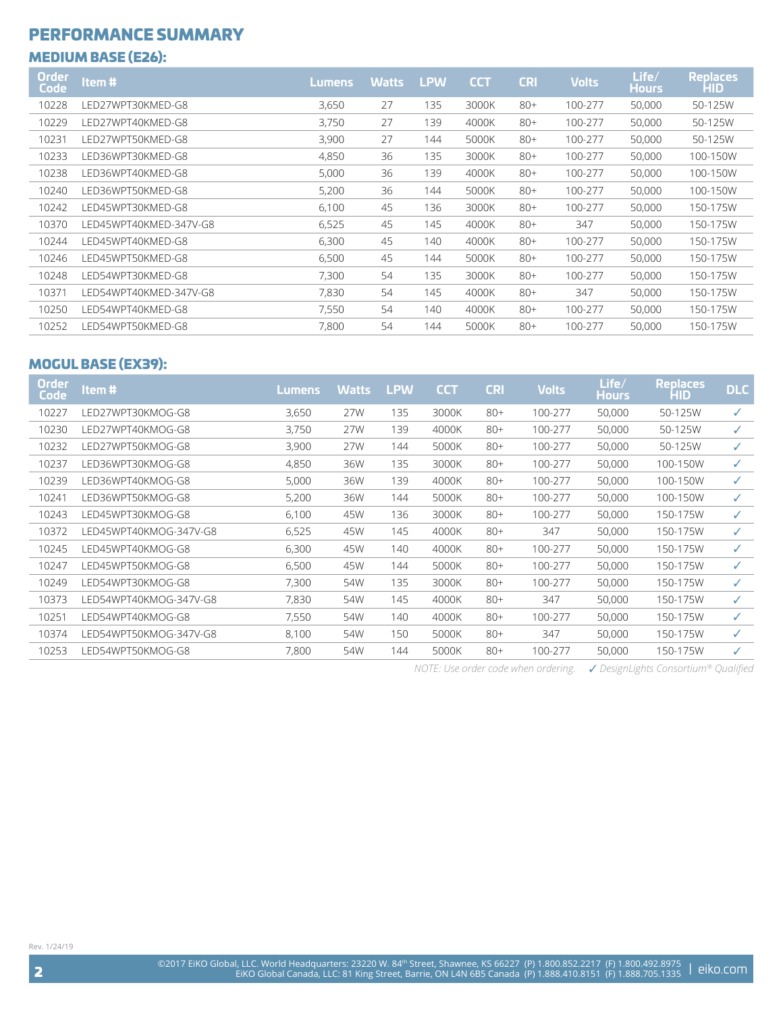# PERFORMANCE SUMMARY

### MEDIUM BASE (E26):

| <b>Order</b><br>Code | Item#                  | Lumens | <b>Watts</b> | <b>LPW</b> | <b>CCT</b> | <b>CRI</b> | <b>Volts</b> | Life/<br><b>Hours</b> | <b>Replaces</b><br><b>HID</b> |
|----------------------|------------------------|--------|--------------|------------|------------|------------|--------------|-----------------------|-------------------------------|
| 10228                | LED27WPT30KMED-G8      | 3,650  | 27           | 135        | 3000K      | $80+$      | 100-277      | 50,000                | 50-125W                       |
| 10229                | LED27WPT40KMED-G8      | 3,750  | 27           | 139        | 4000K      | $80+$      | 100-277      | 50,000                | 50-125W                       |
| 10231                | LED27WPT50KMED-G8      | 3,900  | 27           | 144        | 5000K      | $80+$      | 100-277      | 50,000                | 50-125W                       |
| 10233                | LED36WPT30KMED-G8      | 4,850  | 36           | 135        | 3000K      | $80+$      | 100-277      | 50,000                | 100-150W                      |
| 10238                | LED36WPT40KMED-G8      | 5,000  | 36           | 139        | 4000K      | $80+$      | 100-277      | 50,000                | 100-150W                      |
| 10240                | LED36WPT50KMED-G8      | 5,200  | 36           | 144        | 5000K      | $80+$      | 100-277      | 50,000                | 100-150W                      |
| 10242                | LED45WPT30KMED-G8      | 6,100  | 45           | 136        | 3000K      | $80+$      | 100-277      | 50,000                | 150-175W                      |
| 10370                | LED45WPT40KMED-347V-G8 | 6,525  | 45           | 145        | 4000K      | $80+$      | 347          | 50,000                | 150-175W                      |
| 10244                | I FD45WPT40KMFD-G8     | 6,300  | 45           | 140        | 4000K      | $80+$      | 100-277      | 50,000                | 150-175W                      |
| 10246                | LED45WPT50KMED-G8      | 6,500  | 45           | 144        | 5000K      | $80+$      | 100-277      | 50,000                | 150-175W                      |
| 10248                | LED54WPT30KMED-G8      | 7,300  | 54           | 135        | 3000K      | $80+$      | 100-277      | 50,000                | 150-175W                      |
| 10371                | LED54WPT40KMED-347V-G8 | 7,830  | 54           | 145        | 4000K      | $80+$      | 347          | 50,000                | 150-175W                      |
| 10250                | LED54WPT40KMED-G8      | 7,550  | 54           | 140        | 4000K      | $80+$      | 100-277      | 50,000                | 150-175W                      |
| 10252                | LED54WPT50KMED-G8      | 7,800  | 54           | 144        | 5000K      | $80+$      | 100-277      | 50,000                | 150-175W                      |

## MOGUL BASE (EX39):

| Item#                  | Lumens, | <b>Watts</b> | <b>LPW</b> | <b>CCT</b> | <b>CRI</b> | <b>Volts</b> | Life/<br><b>Hours</b> | <b>Replaces</b><br>HID | <b>DLC</b> |
|------------------------|---------|--------------|------------|------------|------------|--------------|-----------------------|------------------------|------------|
| LED27WPT30KMOG-G8      | 3,650   | 27W          | 135        | 3000K      | $80+$      | 100-277      | 50,000                | 50-125W                | ✓          |
| LED27WPT40KMOG-G8      | 3,750   | 27W          | 139        | 4000K      | $80+$      | 100-277      | 50,000                | 50-125W                | ✓          |
| LED27WPT50KMOG-G8      | 3,900   | 27W          | 144        | 5000K      | $80+$      | 100-277      | 50,000                | 50-125W                | ✓          |
| LED36WPT30KMOG-G8      | 4,850   | 36W          | 135        | 3000K      | $80+$      | 100-277      | 50,000                | 100-150W               | ✓          |
| LED36WPT40KMOG-G8      | 5,000   | 36W          | 139        | 4000K      | $80+$      | 100-277      | 50,000                | 100-150W               | ✓          |
| LED36WPT50KMOG-G8      | 5,200   | 36W          | 144        | 5000K      | $80+$      | 100-277      | 50,000                | 100-150W               | ✓          |
| LED45WPT30KMOG-G8      | 6,100   | 45W          | 136        | 3000K      | $80+$      | 100-277      | 50,000                | 150-175W               | ✓          |
| LED45WPT40KMOG-347V-G8 | 6,525   | 45W          | 145        | 4000K      | $80+$      | 347          | 50,000                | 150-175W               | ✓          |
| LED45WPT40KMOG-G8      | 6,300   | 45W          | 140        | 4000K      | $80+$      | 100-277      | 50,000                | 150-175W               | ✓          |
| LED45WPT50KMOG-G8      | 6,500   | 45W          | 144        | 5000K      | $80+$      | 100-277      | 50,000                | 150-175W               | ✓          |
| LED54WPT30KMOG-G8      | 7,300   | 54W          | 135        | 3000K      | $80+$      | 100-277      | 50,000                | 150-175W               | ✓          |
| LED54WPT40KMOG-347V-G8 | 7,830   | 54W          | 145        | 4000K      | $80+$      | 347          | 50,000                | 150-175W               | ✓          |
| LED54WPT40KMOG-G8      | 7,550   | 54W          | 140        | 4000K      | $80+$      | 100-277      | 50,000                | 150-175W               | ✓          |
| LED54WPT50KMOG-347V-G8 | 8,100   | 54W          | 150        | 5000K      | $80+$      | 347          | 50,000                | 150-175W               | ✓          |
| LED54WPT50KMOG-G8      | 7,800   | 54W          | 144        | 5000K      | $80+$      | 100-277      | 50,000                | 150-175W               | ✓          |
|                        |         |              |            |            |            |              |                       |                        |            |

*NOTE: Use order code when ordering.* ✓ *DesignLights Consortium® Qualified*